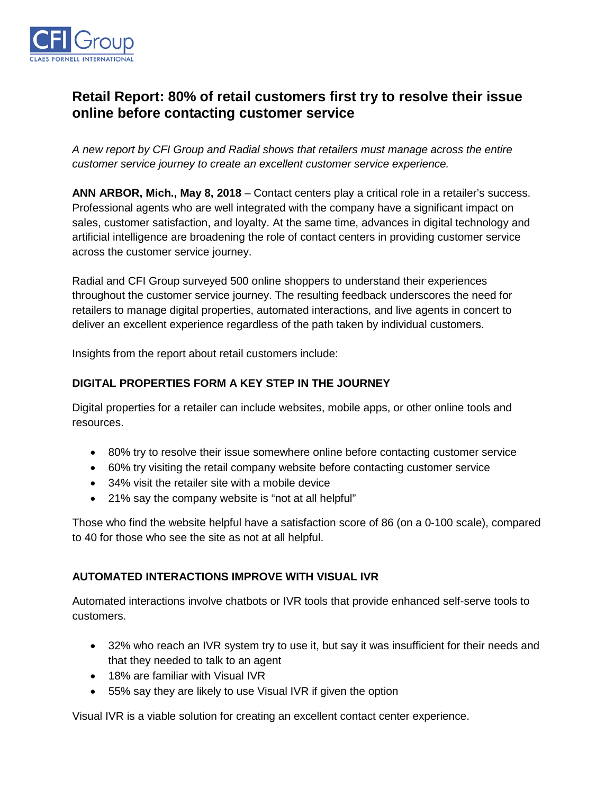

# **Retail Report: 80% of retail customers first try to resolve their issue online before contacting customer service**

*A new report by CFI Group and Radial shows that retailers must manage across the entire customer service journey to create an excellent customer service experience.*

**ANN ARBOR, Mich., May 8, 2018** – Contact centers play a critical role in a retailer's success. Professional agents who are well integrated with the company have a significant impact on sales, customer satisfaction, and loyalty. At the same time, advances in digital technology and artificial intelligence are broadening the role of contact centers in providing customer service across the customer service journey.

Radial and CFI Group surveyed 500 online shoppers to understand their experiences throughout the customer service journey. The resulting feedback underscores the need for retailers to manage digital properties, automated interactions, and live agents in concert to deliver an excellent experience regardless of the path taken by individual customers.

Insights from the report about retail customers include:

# **DIGITAL PROPERTIES FORM A KEY STEP IN THE JOURNEY**

Digital properties for a retailer can include websites, mobile apps, or other online tools and resources.

- 80% try to resolve their issue somewhere online before contacting customer service
- 60% try visiting the retail company website before contacting customer service
- 34% visit the retailer site with a mobile device
- 21% say the company website is "not at all helpful"

Those who find the website helpful have a satisfaction score of 86 (on a 0-100 scale), compared to 40 for those who see the site as not at all helpful.

#### **AUTOMATED INTERACTIONS IMPROVE WITH VISUAL IVR**

Automated interactions involve chatbots or IVR tools that provide enhanced self-serve tools to customers.

- 32% who reach an IVR system try to use it, but say it was insufficient for their needs and that they needed to talk to an agent
- 18% are familiar with Visual IVR
- 55% say they are likely to use Visual IVR if given the option

Visual IVR is a viable solution for creating an excellent contact center experience.